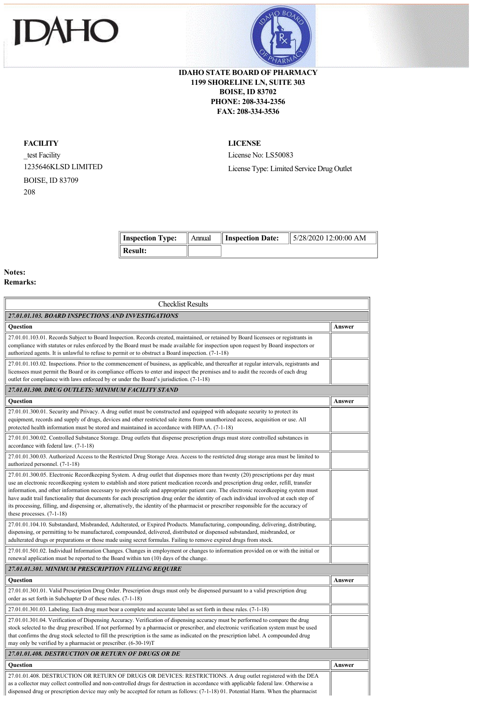



## **IDAHO STATE BOARD OF PHARMACY 1199 SHORELINE LN, SUITE 303 BOISE, ID 83702 PHONE: 208-334-2356 FAX: 208-334-3536**

## **FACILITY**

\_test Facility 1235646KLSD LIMITED BOISE, ID 83709 208

**LICENSE**

License No: LS50083 License Type: Limited Service Drug Outlet

| Inspection Type: $\parallel$ Annual $\parallel$ | <b>Inspection Date:</b> | $\parallel$ 5/28/2020 12:00:00 AM |
|-------------------------------------------------|-------------------------|-----------------------------------|
| Result:                                         |                         |                                   |

## **Notes: R**

|  |  | <b>Kemarks:</b> |  |
|--|--|-----------------|--|
|  |  |                 |  |

| <b>Checklist Results</b>                                                                                                                                                                                                                                                                                                                                                                                                                                                                                                                                                                                                                                                                                                              |        |
|---------------------------------------------------------------------------------------------------------------------------------------------------------------------------------------------------------------------------------------------------------------------------------------------------------------------------------------------------------------------------------------------------------------------------------------------------------------------------------------------------------------------------------------------------------------------------------------------------------------------------------------------------------------------------------------------------------------------------------------|--------|
| 27.01.01.103. BOARD INSPECTIONS AND INVESTIGATIONS                                                                                                                                                                                                                                                                                                                                                                                                                                                                                                                                                                                                                                                                                    |        |
| <b>Ouestion</b>                                                                                                                                                                                                                                                                                                                                                                                                                                                                                                                                                                                                                                                                                                                       | Answer |
| 27.01.01.103.01. Records Subject to Board Inspection. Records created, maintained, or retained by Board licensees or registrants in<br>compliance with statutes or rules enforced by the Board must be made available for inspection upon request by Board inspectors or<br>authorized agents. It is unlawful to refuse to permit or to obstruct a Board inspection. (7-1-18)                                                                                                                                                                                                                                                                                                                                                         |        |
| 27.01.01.103.02. Inspections. Prior to the commencement of business, as applicable, and thereafter at regular intervals, registrants and<br>licensees must permit the Board or its compliance officers to enter and inspect the premises and to audit the records of each drug<br>outlet for compliance with laws enforced by or under the Board's jurisdiction. (7-1-18)                                                                                                                                                                                                                                                                                                                                                             |        |
| 27.01.01.300, DRUG OUTLETS: MINIMUM FACILITY STAND                                                                                                                                                                                                                                                                                                                                                                                                                                                                                                                                                                                                                                                                                    |        |
| <b>Ouestion</b>                                                                                                                                                                                                                                                                                                                                                                                                                                                                                                                                                                                                                                                                                                                       | Answer |
| 27.01.01.300.01. Security and Privacy. A drug outlet must be constructed and equipped with adequate security to protect its<br>equipment, records and supply of drugs, devices and other restricted sale items from unauthorized access, acquisition or use. All<br>protected health information must be stored and maintained in accordance with HIPAA. (7-1-18)                                                                                                                                                                                                                                                                                                                                                                     |        |
| 27.01.01.300.02. Controlled Substance Storage. Drug outlets that dispense prescription drugs must store controlled substances in<br>accordance with federal law. (7-1-18)                                                                                                                                                                                                                                                                                                                                                                                                                                                                                                                                                             |        |
| 27.01.01.300.03. Authorized Access to the Restricted Drug Storage Area. Access to the restricted drug storage area must be limited to<br>authorized personnel. (7-1-18)                                                                                                                                                                                                                                                                                                                                                                                                                                                                                                                                                               |        |
| 27.01.01.300.05. Electronic Recordkeeping System. A drug outlet that dispenses more than twenty (20) prescriptions per day must<br>use an electronic recordkeeping system to establish and store patient medication records and prescription drug order, refill, transfer<br>information, and other information necessary to provide safe and appropriate patient care. The electronic recordkeeping system must<br>have audit trail functionality that documents for each prescription drug order the identity of each individual involved at each step of<br>its processing, filling, and dispensing or, alternatively, the identity of the pharmacist or prescriber responsible for the accuracy of<br>these processes. $(7-1-18)$ |        |
| 27.01.01.104.10. Substandard, Misbranded, Adulterated, or Expired Products. Manufacturing, compounding, delivering, distributing,<br>dispensing, or permitting to be manufactured, compounded, delivered, distributed or dispensed substandard, misbranded, or<br>adulterated drugs or preparations or those made using secret formulas. Failing to remove expired drugs from stock.                                                                                                                                                                                                                                                                                                                                                  |        |
| 27.01.01.501.02. Individual Information Changes. Changes in employment or changes to information provided on or with the initial or<br>renewal application must be reported to the Board within ten (10) days of the change.                                                                                                                                                                                                                                                                                                                                                                                                                                                                                                          |        |
| 27.01.01.301. MINIMUM PRESCRIPTION FILLING REQUIRE                                                                                                                                                                                                                                                                                                                                                                                                                                                                                                                                                                                                                                                                                    |        |
| Question                                                                                                                                                                                                                                                                                                                                                                                                                                                                                                                                                                                                                                                                                                                              | Answer |
| 27.01.01.301.01. Valid Prescription Drug Order. Prescription drugs must only be dispensed pursuant to a valid prescription drug<br>order as set forth in Subchapter D of these rules. (7-1-18)                                                                                                                                                                                                                                                                                                                                                                                                                                                                                                                                        |        |
| 27.01.01.301.03. Labeling. Each drug must bear a complete and accurate label as set forth in these rules. (7-1-18)                                                                                                                                                                                                                                                                                                                                                                                                                                                                                                                                                                                                                    |        |
| 27.01.01.301.04. Verification of Dispensing Accuracy. Verification of dispensing accuracy must be performed to compare the drug<br>stock selected to the drug prescribed. If not performed by a pharmacist or prescriber, and electronic verification system must be used<br>that confirms the drug stock selected to fill the prescription is the same as indicated on the prescription label. A compounded drug<br>may only be verified by a pharmacist or prescriber. (6-30-19)T                                                                                                                                                                                                                                                   |        |
| 27.01.01.408. DESTRUCTION OR RETURN OF DRUGS OR DE                                                                                                                                                                                                                                                                                                                                                                                                                                                                                                                                                                                                                                                                                    |        |
| <b>Ouestion</b>                                                                                                                                                                                                                                                                                                                                                                                                                                                                                                                                                                                                                                                                                                                       | Answer |
| 27.01.01.408. DESTRUCTION OR RETURN OF DRUGS OR DEVICES: RESTRICTIONS. A drug outlet registered with the DEA<br>as a collector may collect controlled and non-controlled drugs for destruction in accordance with applicable federal law. Otherwise a<br>dispensed drug or prescription device may only be accepted for return as follows: (7-1-18) 01. Potential Harm. When the pharmacist                                                                                                                                                                                                                                                                                                                                           |        |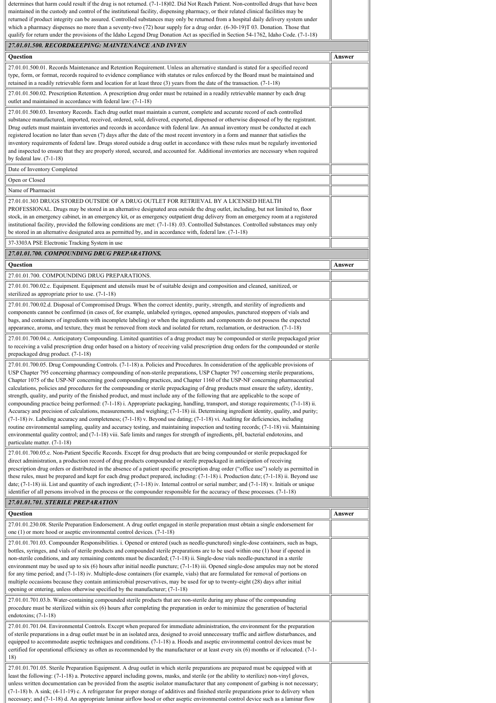| determines that harm could result if the drug is not returned. (7-1-18)02. Did Not Reach Patient. Non-controlled drugs that have been<br>maintained in the custody and control of the institutional facility, dispensing pharmacy, or their related clinical facilities may be<br>returned if product integrity can be assured. Controlled substances may only be returned from a hospital daily delivery system under<br>which a pharmacy dispenses no more than a seventy-two $(72)$ hour supply for a drug order. $(6-30-19)$ T 03. Donation. Those that                                                                                                                                                                                                                                                                                                                                                                                                                                                                                                                                                                                                                                                                                                                                                                                                                                                            |        |
|------------------------------------------------------------------------------------------------------------------------------------------------------------------------------------------------------------------------------------------------------------------------------------------------------------------------------------------------------------------------------------------------------------------------------------------------------------------------------------------------------------------------------------------------------------------------------------------------------------------------------------------------------------------------------------------------------------------------------------------------------------------------------------------------------------------------------------------------------------------------------------------------------------------------------------------------------------------------------------------------------------------------------------------------------------------------------------------------------------------------------------------------------------------------------------------------------------------------------------------------------------------------------------------------------------------------------------------------------------------------------------------------------------------------|--------|
| qualify for return under the provisions of the Idaho Legend Drug Donation Act as specified in Section 54-1762, Idaho Code. (7-1-18)                                                                                                                                                                                                                                                                                                                                                                                                                                                                                                                                                                                                                                                                                                                                                                                                                                                                                                                                                                                                                                                                                                                                                                                                                                                                                    |        |
| 27.01.01.500. RECORDKEEPING: MAINTENANCE AND INVEN                                                                                                                                                                                                                                                                                                                                                                                                                                                                                                                                                                                                                                                                                                                                                                                                                                                                                                                                                                                                                                                                                                                                                                                                                                                                                                                                                                     |        |
| Question                                                                                                                                                                                                                                                                                                                                                                                                                                                                                                                                                                                                                                                                                                                                                                                                                                                                                                                                                                                                                                                                                                                                                                                                                                                                                                                                                                                                               | Answer |
| 27.01.01.500.01. Records Maintenance and Retention Requirement. Unless an alternative standard is stated for a specified record<br>type, form, or format, records required to evidence compliance with statutes or rules enforced by the Board must be maintained and<br>retained in a readily retrievable form and location for at least three $(3)$ years from the date of the transaction. $(7-1-18)$                                                                                                                                                                                                                                                                                                                                                                                                                                                                                                                                                                                                                                                                                                                                                                                                                                                                                                                                                                                                               |        |
| 27.01.01.500.02. Prescription Retention. A prescription drug order must be retained in a readily retrievable manner by each drug<br>outlet and maintained in accordance with federal law: (7-1-18)                                                                                                                                                                                                                                                                                                                                                                                                                                                                                                                                                                                                                                                                                                                                                                                                                                                                                                                                                                                                                                                                                                                                                                                                                     |        |
| 27.01.01.500.03. Inventory Records. Each drug outlet must maintain a current, complete and accurate record of each controlled<br>substance manufactured, imported, received, ordered, sold, delivered, exported, dispensed or otherwise disposed of by the registrant.<br>Drug outlets must maintain inventories and records in accordance with federal law. An annual inventory must be conducted at each<br>registered location no later than seven (7) days after the date of the most recent inventory in a form and manner that satisfies the<br>inventory requirements of federal law. Drugs stored outside a drug outlet in accordance with these rules must be regularly inventoried<br>and inspected to ensure that they are properly stored, secured, and accounted for. Additional inventories are necessary when required<br>by federal law. $(7-1-18)$                                                                                                                                                                                                                                                                                                                                                                                                                                                                                                                                                    |        |
| Date of Inventory Completed                                                                                                                                                                                                                                                                                                                                                                                                                                                                                                                                                                                                                                                                                                                                                                                                                                                                                                                                                                                                                                                                                                                                                                                                                                                                                                                                                                                            |        |
| Open or Closed                                                                                                                                                                                                                                                                                                                                                                                                                                                                                                                                                                                                                                                                                                                                                                                                                                                                                                                                                                                                                                                                                                                                                                                                                                                                                                                                                                                                         |        |
| Name of Pharmacist<br>27.01.01.303 DRUGS STORED OUTSIDE OF A DRUG OUTLET FOR RETRIEVAL BY A LICENSED HEALTH<br>PROFESSIONAL. Drugs may be stored in an alternative designated area outside the drug outlet, including, but not limited to, floor<br>stock, in an emergency cabinet, in an emergency kit, or as emergency outpatient drug delivery from an emergency room at a registered<br>institutional facility, provided the following conditions are met: (7-1-18) 03. Controlled Substances. Controlled substances may only<br>be stored in an alternative designated area as permitted by, and in accordance with, federal law. (7-1-18)<br>37-3303A PSE Electronic Tracking System in use                                                                                                                                                                                                                                                                                                                                                                                                                                                                                                                                                                                                                                                                                                                      |        |
| 27.01.01.700. COMPOUNDING DRUG PREPARATIONS.                                                                                                                                                                                                                                                                                                                                                                                                                                                                                                                                                                                                                                                                                                                                                                                                                                                                                                                                                                                                                                                                                                                                                                                                                                                                                                                                                                           |        |
| Question                                                                                                                                                                                                                                                                                                                                                                                                                                                                                                                                                                                                                                                                                                                                                                                                                                                                                                                                                                                                                                                                                                                                                                                                                                                                                                                                                                                                               | Answer |
| 27.01.01.700. COMPOUNDING DRUG PREPARATIONS.                                                                                                                                                                                                                                                                                                                                                                                                                                                                                                                                                                                                                                                                                                                                                                                                                                                                                                                                                                                                                                                                                                                                                                                                                                                                                                                                                                           |        |
| 27.01.01.700.02.c. Equipment. Equipment and utensils must be of suitable design and composition and cleaned, sanitized, or<br>sterilized as appropriate prior to use. (7-1-18)                                                                                                                                                                                                                                                                                                                                                                                                                                                                                                                                                                                                                                                                                                                                                                                                                                                                                                                                                                                                                                                                                                                                                                                                                                         |        |
| 27.01.01.700.02.d. Disposal of Compromised Drugs. When the correct identity, purity, strength, and sterility of ingredients and<br>components cannot be confirmed (in cases of, for example, unlabeled syringes, opened ampoules, punctured stoppers of vials and<br>bags, and containers of ingredients with incomplete labeling) or when the ingredients and components do not possess the expected<br>appearance, aroma, and texture, they must be removed from stock and isolated for return, reclamation, or destruction. (7-1-18)                                                                                                                                                                                                                                                                                                                                                                                                                                                                                                                                                                                                                                                                                                                                                                                                                                                                                |        |
| 27.01.01.700.04.c. Anticipatory Compounding. Limited quantities of a drug product may be compounded or sterile prepackaged prior<br>to receiving a valid prescription drug order based on a history of receiving valid prescription drug orders for the compounded or sterile<br>prepackaged drug product. (7-1-18)                                                                                                                                                                                                                                                                                                                                                                                                                                                                                                                                                                                                                                                                                                                                                                                                                                                                                                                                                                                                                                                                                                    |        |
| 27.01.01.700.05. Drug Compounding Controls. (7-1-18) a. Policies and Procedures. In consideration of the applicable provisions of<br>USP Chapter 795 concerning pharmacy compounding of non-sterile preparations, USP Chapter 797 concerning sterile preparations,<br>Chapter 1075 of the USP-NF concerning good compounding practices, and Chapter 1160 of the USP-NF concerning pharmaceutical<br>calculations, policies and procedures for the compounding or sterile prepackaging of drug products must ensure the safety, identity,<br>strength, quality, and purity of the finished product, and must include any of the following that are applicable to the scope of<br>compounding practice being performed: (7-1-18) i. Appropriate packaging, handling, transport, and storage requirements; (7-1-18) ii.<br>Accuracy and precision of calculations, measurements, and weighing; (7-1-18) iii. Determining ingredient identity, quality, and purity;<br>(7-1-18) iv. Labeling accuracy and completeness; (7-1-18) v. Beyond use dating; (7-1-18) vi. Auditing for deficiencies, including<br>routine environmental sampling, quality and accuracy testing, and maintaining inspection and testing records; (7-1-18) vii. Maintaining<br>environmental quality control; and (7-1-18) viii. Safe limits and ranges for strength of ingredients, pH, bacterial endotoxins, and<br>particulate matter. (7-1-18) |        |
| 27.01.01.700.05.c. Non-Patient Specific Records. Except for drug products that are being compounded or sterile prepackaged for<br>direct administration, a production record of drug products compounded or sterile prepackaged in anticipation of receiving<br>prescription drug orders or distributed in the absence of a patient specific prescription drug order ("office use") solely as permitted in<br>these rules, must be prepared and kept for each drug product prepared, including: $(7-1-18)$ i. Production date; $(7-1-18)$ ii. Beyond use<br>date; $(7-1-18)$ iii. List and quantity of each ingredient; $(7-1-18)$ iv. Internal control or serial number; and $(7-1-18)$ v. Initials or unique<br>identifier of all persons involved in the process or the compounder responsible for the accuracy of these processes. (7-1-18)                                                                                                                                                                                                                                                                                                                                                                                                                                                                                                                                                                        |        |
| 27.01.01.701. STERILE PREPARATION                                                                                                                                                                                                                                                                                                                                                                                                                                                                                                                                                                                                                                                                                                                                                                                                                                                                                                                                                                                                                                                                                                                                                                                                                                                                                                                                                                                      |        |
| Question                                                                                                                                                                                                                                                                                                                                                                                                                                                                                                                                                                                                                                                                                                                                                                                                                                                                                                                                                                                                                                                                                                                                                                                                                                                                                                                                                                                                               | Answer |
| 27.01.01.230.08. Sterile Preparation Endorsement. A drug outlet engaged in sterile preparation must obtain a single endorsement for<br>one $(1)$ or more hood or aseptic environmental control devices. $(7-1-18)$                                                                                                                                                                                                                                                                                                                                                                                                                                                                                                                                                                                                                                                                                                                                                                                                                                                                                                                                                                                                                                                                                                                                                                                                     |        |
| 27.01.01.701.03. Compounder Responsibilities. i. Opened or entered (such as needle-punctured) single-dose containers, such as bags,<br>bottles, syringes, and vials of sterile products and compounded sterile preparations are to be used within one (1) hour if opened in<br>non-sterile conditions, and any remaining contents must be discarded; (7-1-18) ii. Single-dose vials needle-punctured in a sterile<br>environment may be used up to six $(6)$ hours after initial needle puncture; $(7-1-18)$ iii. Opened single-dose ampules may not be stored<br>for any time period; and (7-1-18) iv. Multiple-dose containers (for example, vials) that are formulated for removal of portions on<br>multiple occasions because they contain antimicrobial preservatives, may be used for up to twenty-eight (28) days after initial<br>opening or entering, unless otherwise specified by the manufacturer; (7-1-18)                                                                                                                                                                                                                                                                                                                                                                                                                                                                                               |        |
| 27.01.01.701.03.b. Water-containing compounded sterile products that are non-sterile during any phase of the compounding<br>procedure must be sterilized within six (6) hours after completing the preparation in order to minimize the generation of bacterial<br>endotoxins; $(7-1-18)$                                                                                                                                                                                                                                                                                                                                                                                                                                                                                                                                                                                                                                                                                                                                                                                                                                                                                                                                                                                                                                                                                                                              |        |
| 27.01.01.701.04. Environmental Controls. Except when prepared for immediate administration, the environment for the preparation<br>of sterile preparations in a drug outlet must be in an isolated area, designed to avoid unnecessary traffic and airflow disturbances, and<br>equipped to accommodate aseptic techniques and conditions. (7-1-18) a. Hoods and aseptic environmental control devices must be<br>certified for operational efficiency as often as recommended by the manufacturer or at least every six (6) months or if relocated. (7-1-<br>18)                                                                                                                                                                                                                                                                                                                                                                                                                                                                                                                                                                                                                                                                                                                                                                                                                                                      |        |
| 27.01.01.701.05. Sterile Preparation Equipment. A drug outlet in which sterile preparations are prepared must be equipped with at<br>least the following: (7-1-18) a. Protective apparel including gowns, masks, and sterile (or the ability to sterilize) non-vinyl gloves,<br>unless written documentation can be provided from the aseptic isolator manufacturer that any component of garbing is not necessary;<br>(7-1-18) b. A sink; (4-11-19) c. A refrigerator for proper storage of additives and finished sterile preparations prior to delivery when<br>necessary; and (7-1-18) d. An appropriate laminar airflow hood or other aseptic environmental control device such as a laminar flow                                                                                                                                                                                                                                                                                                                                                                                                                                                                                                                                                                                                                                                                                                                 |        |